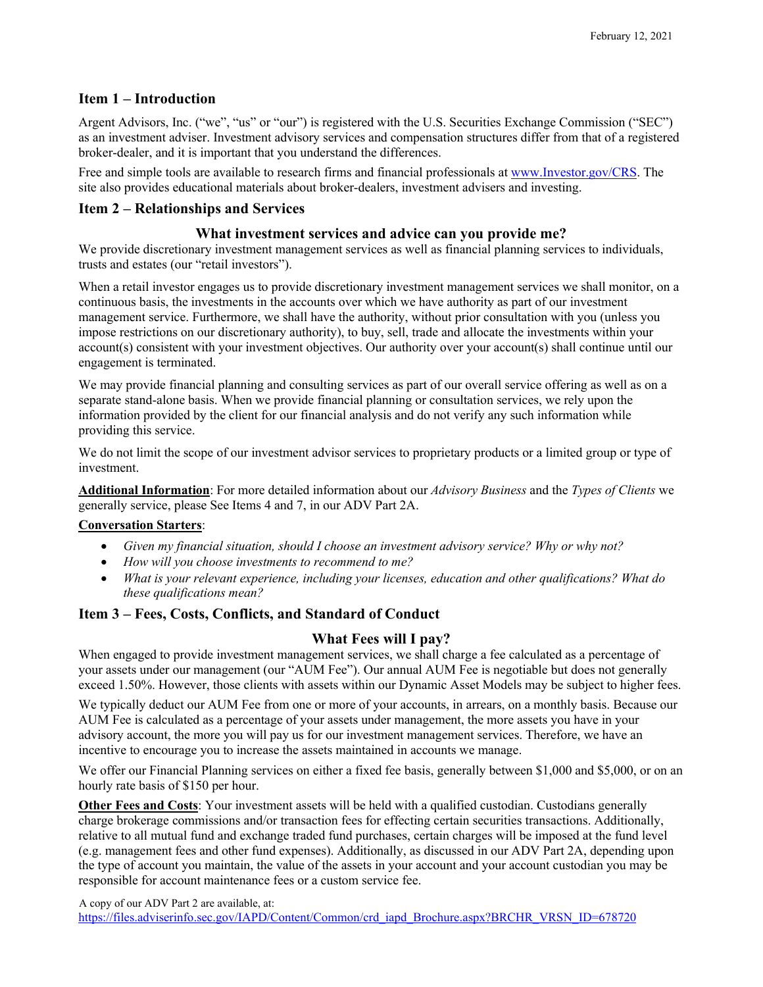## **Item 1 – Introduction**

Argent Advisors, Inc. ("we", "us" or "our") is registered with the U.S. Securities Exchange Commission ("SEC") as an investment adviser. Investment advisory services and compensation structures differ from that of a registered broker-dealer, and it is important that you understand the differences.

Free and simple tools are available to research firms and financial professionals at [www.Investor.gov/CRS.](http://www.investor.gov/CRS) The site also provides educational materials about broker-dealers, investment advisers and investing.

## **Item 2 – Relationships and Services**

## **What investment services and advice can you provide me?**

We provide discretionary investment management services as well as financial planning services to individuals, trusts and estates (our "retail investors").

When a retail investor engages us to provide discretionary investment management services we shall monitor, on a continuous basis, the investments in the accounts over which we have authority as part of our investment management service. Furthermore, we shall have the authority, without prior consultation with you (unless you impose restrictions on our discretionary authority), to buy, sell, trade and allocate the investments within your account(s) consistent with your investment objectives. Our authority over your account(s) shall continue until our engagement is terminated.

We may provide financial planning and consulting services as part of our overall service offering as well as on a separate stand-alone basis. When we provide financial planning or consultation services, we rely upon the information provided by the client for our financial analysis and do not verify any such information while providing this service.

We do not limit the scope of our investment advisor services to proprietary products or a limited group or type of investment.

**Additional Information**: For more detailed information about our *Advisory Business* and the *Types of Clients* we generally service, please See Items 4 and 7, in our ADV Part 2A.

#### **Conversation Starters**:

- *Given my financial situation, should I choose an investment advisory service? Why or why not?*
- *How will you choose investments to recommend to me?*
- *What is your relevant experience, including your licenses, education and other qualifications? What do these qualifications mean?*

## **Item 3 – Fees, Costs, Conflicts, and Standard of Conduct**

## **What Fees will I pay?**

When engaged to provide investment management services, we shall charge a fee calculated as a percentage of your assets under our management (our "AUM Fee"). Our annual AUM Fee is negotiable but does not generally exceed 1.50%. However, those clients with assets within our Dynamic Asset Models may be subject to higher fees.

We typically deduct our AUM Fee from one or more of your accounts, in arrears, on a monthly basis. Because our AUM Fee is calculated as a percentage of your assets under management, the more assets you have in your advisory account, the more you will pay us for our investment management services. Therefore, we have an incentive to encourage you to increase the assets maintained in accounts we manage.

We offer our Financial Planning services on either a fixed fee basis, generally between \$1,000 and \$5,000, or on an hourly rate basis of \$150 per hour.

**Other Fees and Costs**: Your investment assets will be held with a qualified custodian. Custodians generally charge brokerage commissions and/or transaction fees for effecting certain securities transactions. Additionally, relative to all mutual fund and exchange traded fund purchases, certain charges will be imposed at the fund level (e.g. management fees and other fund expenses). Additionally, as discussed in our ADV Part 2A, depending upon the type of account you maintain, the value of the assets in your account and your account custodian you may be responsible for account maintenance fees or a custom service fee.

A copy of our ADV Part 2 are available, at: [https://files.adviserinfo.sec.gov/IAPD/Content/Common/crd\\_iapd\\_Brochure.aspx?BRCHR\\_VRSN\\_ID=678720](https://files.adviserinfo.sec.gov/IAPD/Content/Common/crd_iapd_Brochure.aspx?BRCHR_VRSN_ID=678720)